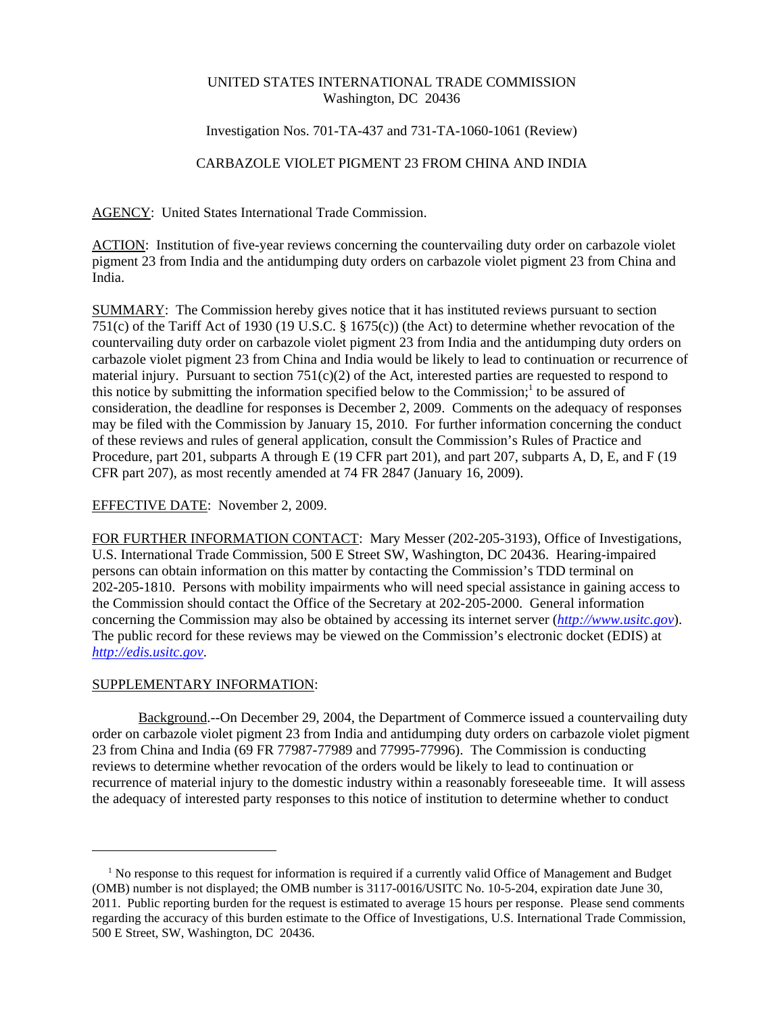### UNITED STATES INTERNATIONAL TRADE COMMISSION Washington, DC 20436

## Investigation Nos. 701-TA-437 and 731-TA-1060-1061 (Review)

# CARBAZOLE VIOLET PIGMENT 23 FROM CHINA AND INDIA

AGENCY: United States International Trade Commission.

ACTION: Institution of five-year reviews concerning the countervailing duty order on carbazole violet pigment 23 from India and the antidumping duty orders on carbazole violet pigment 23 from China and India.

SUMMARY: The Commission hereby gives notice that it has instituted reviews pursuant to section 751(c) of the Tariff Act of 1930 (19 U.S.C. § 1675(c)) (the Act) to determine whether revocation of the countervailing duty order on carbazole violet pigment 23 from India and the antidumping duty orders on carbazole violet pigment 23 from China and India would be likely to lead to continuation or recurrence of material injury. Pursuant to section  $751(c)(2)$  of the Act, interested parties are requested to respond to this notice by submitting the information specified below to the Commission;<sup>1</sup> to be assured of consideration, the deadline for responses is December 2, 2009. Comments on the adequacy of responses may be filed with the Commission by January 15, 2010. For further information concerning the conduct of these reviews and rules of general application, consult the Commission's Rules of Practice and Procedure, part 201, subparts A through E (19 CFR part 201), and part 207, subparts A, D, E, and F (19 CFR part 207), as most recently amended at 74 FR 2847 (January 16, 2009).

## EFFECTIVE DATE: November 2, 2009.

FOR FURTHER INFORMATION CONTACT: Mary Messer (202-205-3193), Office of Investigations, U.S. International Trade Commission, 500 E Street SW, Washington, DC 20436. Hearing-impaired persons can obtain information on this matter by contacting the Commission's TDD terminal on 202-205-1810. Persons with mobility impairments who will need special assistance in gaining access to the Commission should contact the Office of the Secretary at 202-205-2000. General information concerning the Commission may also be obtained by accessing its internet server (*http://www.usitc.gov*). The public record for these reviews may be viewed on the Commission's electronic docket (EDIS) at *http://edis.usitc.gov*.

### SUPPLEMENTARY INFORMATION:

Background.--On December 29, 2004, the Department of Commerce issued a countervailing duty order on carbazole violet pigment 23 from India and antidumping duty orders on carbazole violet pigment 23 from China and India (69 FR 77987-77989 and 77995-77996). The Commission is conducting reviews to determine whether revocation of the orders would be likely to lead to continuation or recurrence of material injury to the domestic industry within a reasonably foreseeable time. It will assess the adequacy of interested party responses to this notice of institution to determine whether to conduct

<sup>&</sup>lt;sup>1</sup> No response to this request for information is required if a currently valid Office of Management and Budget (OMB) number is not displayed; the OMB number is 3117-0016/USITC No. 10-5-204, expiration date June 30, 2011. Public reporting burden for the request is estimated to average 15 hours per response. Please send comments regarding the accuracy of this burden estimate to the Office of Investigations, U.S. International Trade Commission, 500 E Street, SW, Washington, DC 20436.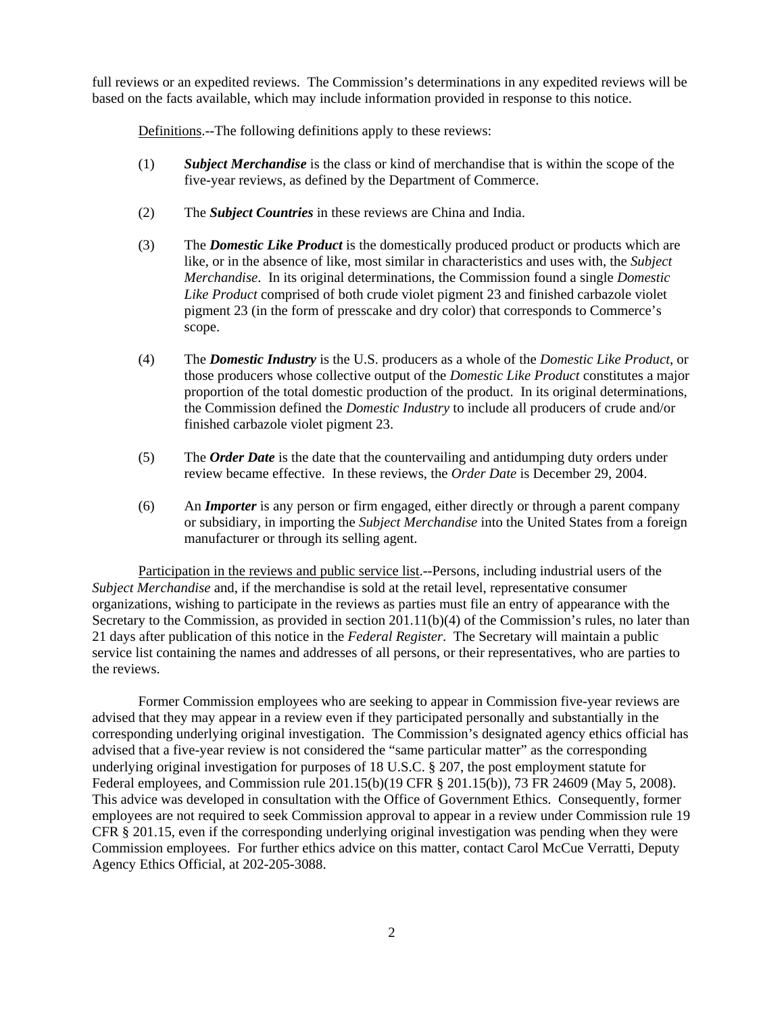full reviews or an expedited reviews. The Commission's determinations in any expedited reviews will be based on the facts available, which may include information provided in response to this notice.

Definitions.--The following definitions apply to these reviews:

- (1) *Subject Merchandise* is the class or kind of merchandise that is within the scope of the five-year reviews, as defined by the Department of Commerce.
- (2) The *Subject Countries* in these reviews are China and India.
- (3) The *Domestic Like Product* is the domestically produced product or products which are like, or in the absence of like, most similar in characteristics and uses with, the *Subject Merchandise*. In its original determinations, the Commission found a single *Domestic Like Product* comprised of both crude violet pigment 23 and finished carbazole violet pigment 23 (in the form of presscake and dry color) that corresponds to Commerce's scope.
- (4) The *Domestic Industry* is the U.S. producers as a whole of the *Domestic Like Product*, or those producers whose collective output of the *Domestic Like Product* constitutes a major proportion of the total domestic production of the product. In its original determinations, the Commission defined the *Domestic Industry* to include all producers of crude and/or finished carbazole violet pigment 23.
- (5) The *Order Date* is the date that the countervailing and antidumping duty orders under review became effective. In these reviews, the *Order Date* is December 29, 2004.
- (6) An *Importer* is any person or firm engaged, either directly or through a parent company or subsidiary, in importing the *Subject Merchandise* into the United States from a foreign manufacturer or through its selling agent.

Participation in the reviews and public service list.--Persons, including industrial users of the *Subject Merchandise* and, if the merchandise is sold at the retail level, representative consumer organizations, wishing to participate in the reviews as parties must file an entry of appearance with the Secretary to the Commission, as provided in section 201.11(b)(4) of the Commission's rules, no later than 21 days after publication of this notice in the *Federal Register*. The Secretary will maintain a public service list containing the names and addresses of all persons, or their representatives, who are parties to the reviews.

Former Commission employees who are seeking to appear in Commission five-year reviews are advised that they may appear in a review even if they participated personally and substantially in the corresponding underlying original investigation. The Commission's designated agency ethics official has advised that a five-year review is not considered the "same particular matter" as the corresponding underlying original investigation for purposes of 18 U.S.C. § 207, the post employment statute for Federal employees, and Commission rule 201.15(b)(19 CFR § 201.15(b)), 73 FR 24609 (May 5, 2008). This advice was developed in consultation with the Office of Government Ethics. Consequently, former employees are not required to seek Commission approval to appear in a review under Commission rule 19 CFR § 201.15, even if the corresponding underlying original investigation was pending when they were Commission employees. For further ethics advice on this matter, contact Carol McCue Verratti, Deputy Agency Ethics Official, at 202-205-3088.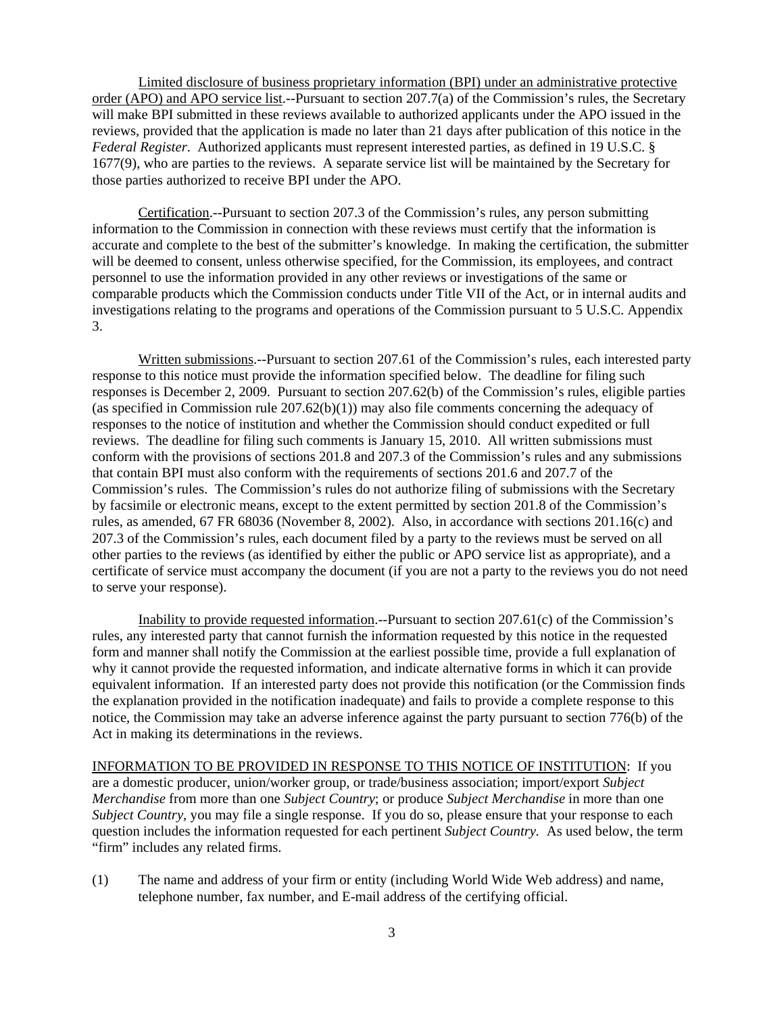Limited disclosure of business proprietary information (BPI) under an administrative protective order (APO) and APO service list.--Pursuant to section 207.7(a) of the Commission's rules, the Secretary will make BPI submitted in these reviews available to authorized applicants under the APO issued in the reviews, provided that the application is made no later than 21 days after publication of this notice in the *Federal Register*. Authorized applicants must represent interested parties, as defined in 19 U.S.C. § 1677(9), who are parties to the reviews. A separate service list will be maintained by the Secretary for those parties authorized to receive BPI under the APO.

Certification.--Pursuant to section 207.3 of the Commission's rules, any person submitting information to the Commission in connection with these reviews must certify that the information is accurate and complete to the best of the submitter's knowledge. In making the certification, the submitter will be deemed to consent, unless otherwise specified, for the Commission, its employees, and contract personnel to use the information provided in any other reviews or investigations of the same or comparable products which the Commission conducts under Title VII of the Act, or in internal audits and investigations relating to the programs and operations of the Commission pursuant to 5 U.S.C. Appendix 3.

Written submissions.--Pursuant to section 207.61 of the Commission's rules, each interested party response to this notice must provide the information specified below. The deadline for filing such responses is December 2, 2009. Pursuant to section 207.62(b) of the Commission's rules, eligible parties (as specified in Commission rule  $207.62(b)(1)$ ) may also file comments concerning the adequacy of responses to the notice of institution and whether the Commission should conduct expedited or full reviews. The deadline for filing such comments is January 15, 2010. All written submissions must conform with the provisions of sections 201.8 and 207.3 of the Commission's rules and any submissions that contain BPI must also conform with the requirements of sections 201.6 and 207.7 of the Commission's rules. The Commission's rules do not authorize filing of submissions with the Secretary by facsimile or electronic means, except to the extent permitted by section 201.8 of the Commission's rules, as amended, 67 FR 68036 (November 8, 2002). Also, in accordance with sections 201.16(c) and 207.3 of the Commission's rules, each document filed by a party to the reviews must be served on all other parties to the reviews (as identified by either the public or APO service list as appropriate), and a certificate of service must accompany the document (if you are not a party to the reviews you do not need to serve your response).

Inability to provide requested information.--Pursuant to section 207.61(c) of the Commission's rules, any interested party that cannot furnish the information requested by this notice in the requested form and manner shall notify the Commission at the earliest possible time, provide a full explanation of why it cannot provide the requested information, and indicate alternative forms in which it can provide equivalent information. If an interested party does not provide this notification (or the Commission finds the explanation provided in the notification inadequate) and fails to provide a complete response to this notice, the Commission may take an adverse inference against the party pursuant to section 776(b) of the Act in making its determinations in the reviews.

INFORMATION TO BE PROVIDED IN RESPONSE TO THIS NOTICE OF INSTITUTION: If you are a domestic producer, union/worker group, or trade/business association; import/export *Subject Merchandise* from more than one *Subject Country*; or produce *Subject Merchandise* in more than one *Subject Country*, you may file a single response. If you do so, please ensure that your response to each question includes the information requested for each pertinent *Subject Country.* As used below, the term "firm" includes any related firms.

(1) The name and address of your firm or entity (including World Wide Web address) and name, telephone number, fax number, and E-mail address of the certifying official.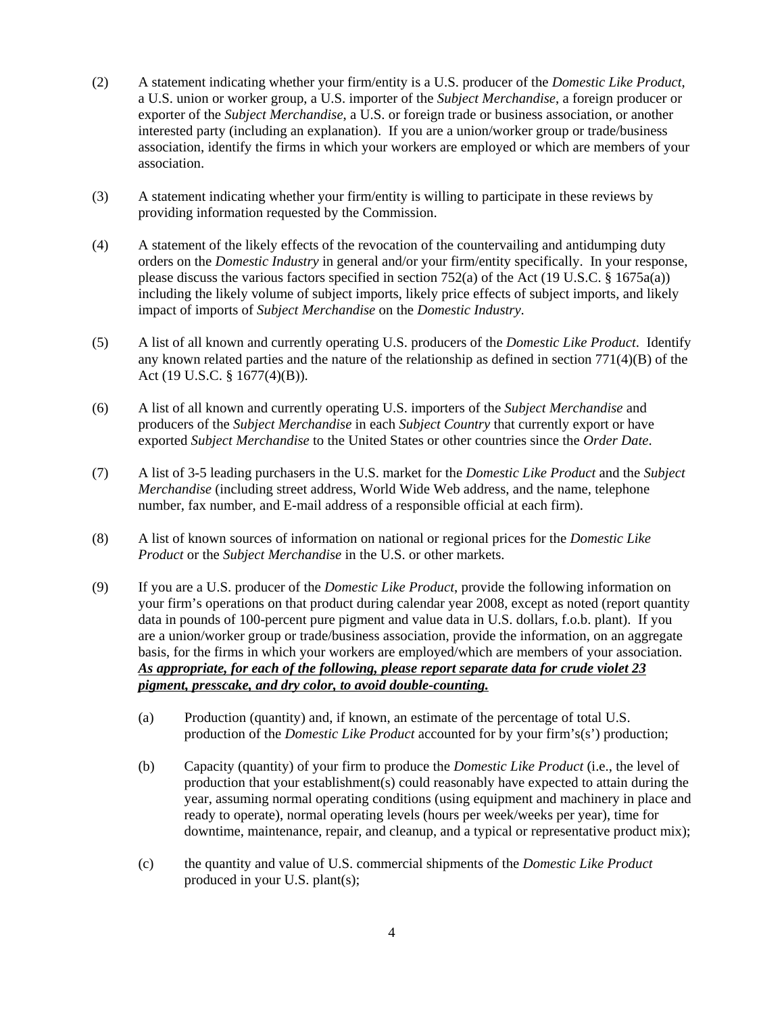- (2) A statement indicating whether your firm/entity is a U.S. producer of the *Domestic Like Product*, a U.S. union or worker group, a U.S. importer of the *Subject Merchandise*, a foreign producer or exporter of the *Subject Merchandise*, a U.S. or foreign trade or business association, or another interested party (including an explanation). If you are a union/worker group or trade/business association, identify the firms in which your workers are employed or which are members of your association.
- (3) A statement indicating whether your firm/entity is willing to participate in these reviews by providing information requested by the Commission.
- (4) A statement of the likely effects of the revocation of the countervailing and antidumping duty orders on the *Domestic Industry* in general and/or your firm/entity specifically. In your response, please discuss the various factors specified in section 752(a) of the Act (19 U.S.C. § 1675a(a)) including the likely volume of subject imports, likely price effects of subject imports, and likely impact of imports of *Subject Merchandise* on the *Domestic Industry*.
- (5) A list of all known and currently operating U.S. producers of the *Domestic Like Product*. Identify any known related parties and the nature of the relationship as defined in section 771(4)(B) of the Act (19 U.S.C. § 1677(4)(B)).
- (6) A list of all known and currently operating U.S. importers of the *Subject Merchandise* and producers of the *Subject Merchandise* in each *Subject Country* that currently export or have exported *Subject Merchandise* to the United States or other countries since the *Order Date*.
- (7) A list of 3-5 leading purchasers in the U.S. market for the *Domestic Like Product* and the *Subject Merchandise* (including street address, World Wide Web address, and the name, telephone number, fax number, and E-mail address of a responsible official at each firm).
- (8) A list of known sources of information on national or regional prices for the *Domestic Like Product* or the *Subject Merchandise* in the U.S. or other markets.
- (9) If you are a U.S. producer of the *Domestic Like Product*, provide the following information on your firm's operations on that product during calendar year 2008, except as noted (report quantity data in pounds of 100-percent pure pigment and value data in U.S. dollars, f.o.b. plant). If you are a union/worker group or trade/business association, provide the information, on an aggregate basis, for the firms in which your workers are employed/which are members of your association. *As appropriate, for each of the following, please report separate data for crude violet 23 pigment, presscake, and dry color, to avoid double-counting.*
	- (a) Production (quantity) and, if known, an estimate of the percentage of total U.S. production of the *Domestic Like Product* accounted for by your firm's(s') production;
	- (b) Capacity (quantity) of your firm to produce the *Domestic Like Product* (i.e., the level of production that your establishment(s) could reasonably have expected to attain during the year, assuming normal operating conditions (using equipment and machinery in place and ready to operate), normal operating levels (hours per week/weeks per year), time for downtime, maintenance, repair, and cleanup, and a typical or representative product mix);
	- (c) the quantity and value of U.S. commercial shipments of the *Domestic Like Product* produced in your U.S. plant(s);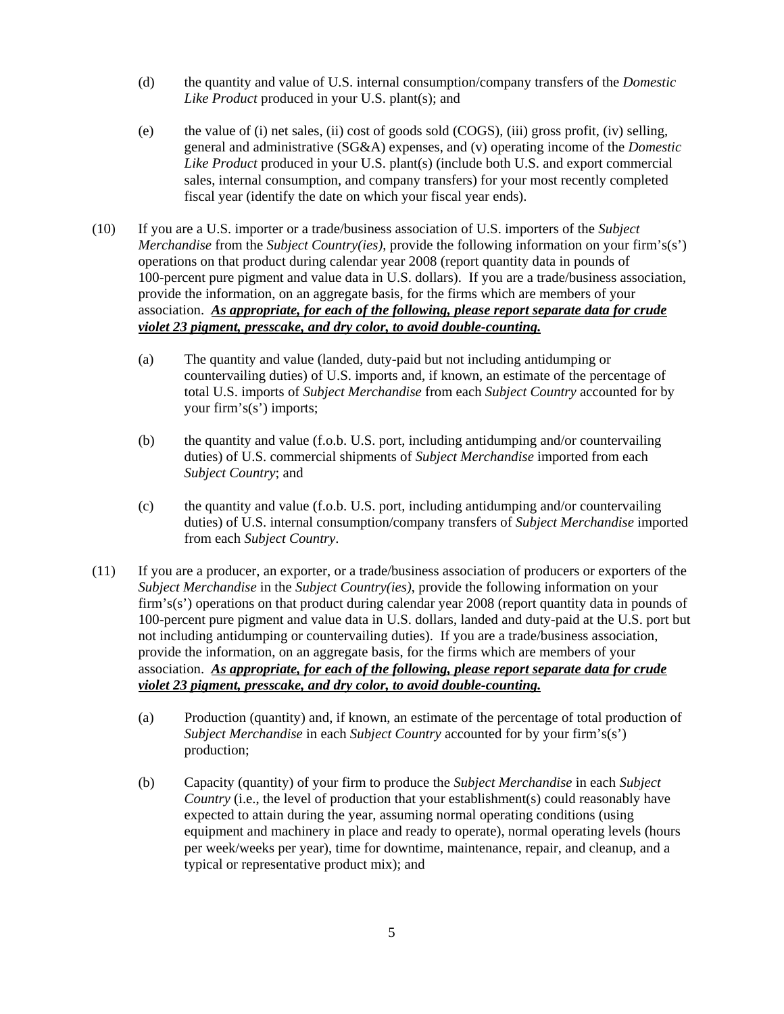- (d) the quantity and value of U.S. internal consumption/company transfers of the *Domestic Like Product* produced in your U.S. plant(s); and
- (e) the value of (i) net sales, (ii) cost of goods sold (COGS), (iii) gross profit, (iv) selling, general and administrative (SG&A) expenses, and (v) operating income of the *Domestic Like Product* produced in your U.S. plant(s) (include both U.S. and export commercial sales, internal consumption, and company transfers) for your most recently completed fiscal year (identify the date on which your fiscal year ends).
- (10) If you are a U.S. importer or a trade/business association of U.S. importers of the *Subject Merchandise* from the *Subject Country(ies)*, provide the following information on your firm's(s') operations on that product during calendar year 2008 (report quantity data in pounds of 100-percent pure pigment and value data in U.S. dollars). If you are a trade/business association, provide the information, on an aggregate basis, for the firms which are members of your association. *As appropriate, for each of the following, please report separate data for crude violet 23 pigment, presscake, and dry color, to avoid double-counting.*
	- (a) The quantity and value (landed, duty-paid but not including antidumping or countervailing duties) of U.S. imports and, if known, an estimate of the percentage of total U.S. imports of *Subject Merchandise* from each *Subject Country* accounted for by your firm's(s') imports;
	- (b) the quantity and value (f.o.b. U.S. port, including antidumping and/or countervailing duties) of U.S. commercial shipments of *Subject Merchandise* imported from each *Subject Country*; and
	- (c) the quantity and value (f.o.b. U.S. port, including antidumping and/or countervailing duties) of U.S. internal consumption/company transfers of *Subject Merchandise* imported from each *Subject Country*.
- (11) If you are a producer, an exporter, or a trade/business association of producers or exporters of the *Subject Merchandise* in the *Subject Country(ies)*, provide the following information on your firm's(s') operations on that product during calendar year 2008 (report quantity data in pounds of 100-percent pure pigment and value data in U.S. dollars, landed and duty-paid at the U.S. port but not including antidumping or countervailing duties). If you are a trade/business association, provide the information, on an aggregate basis, for the firms which are members of your association. *As appropriate, for each of the following, please report separate data for crude violet 23 pigment, presscake, and dry color, to avoid double-counting.*
	- (a) Production (quantity) and, if known, an estimate of the percentage of total production of *Subject Merchandise* in each *Subject Country* accounted for by your firm's(s') production;
	- (b) Capacity (quantity) of your firm to produce the *Subject Merchandise* in each *Subject Country* (i.e., the level of production that your establishment(s) could reasonably have expected to attain during the year, assuming normal operating conditions (using equipment and machinery in place and ready to operate), normal operating levels (hours per week/weeks per year), time for downtime, maintenance, repair, and cleanup, and a typical or representative product mix); and